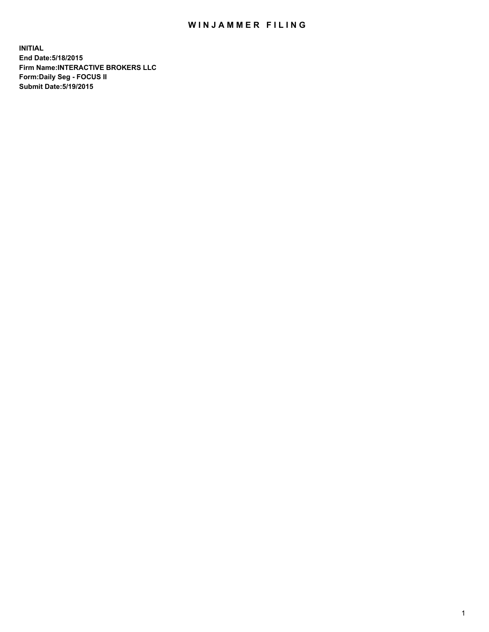## WIN JAMMER FILING

**INITIAL End Date:5/18/2015 Firm Name:INTERACTIVE BROKERS LLC Form:Daily Seg - FOCUS II Submit Date:5/19/2015**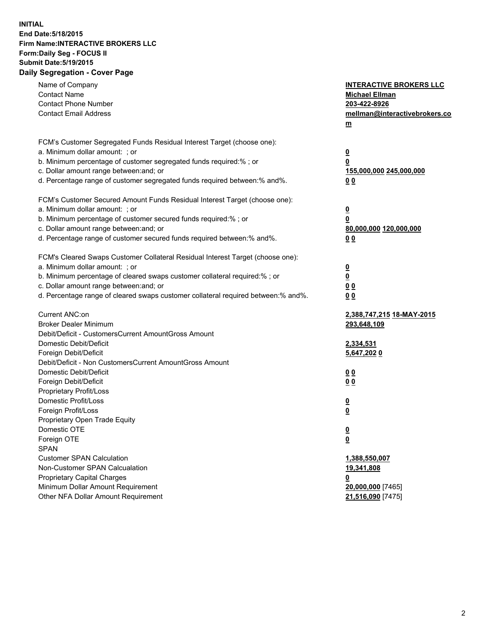## **INITIAL End Date:5/18/2015 Firm Name:INTERACTIVE BROKERS LLC Form:Daily Seg - FOCUS II Submit Date:5/19/2015 Daily Segregation - Cover Page**

| Name of Company<br><b>Contact Name</b><br><b>Contact Phone Number</b><br><b>Contact Email Address</b>    | <b>INTERACTIVE BROKERS LLC</b><br><b>Michael Ellman</b><br>203-422-8926<br>mellman@interactivebrokers.co<br>$m$ |
|----------------------------------------------------------------------------------------------------------|-----------------------------------------------------------------------------------------------------------------|
| FCM's Customer Segregated Funds Residual Interest Target (choose one):<br>a. Minimum dollar amount: ; or |                                                                                                                 |
| b. Minimum percentage of customer segregated funds required:% ; or                                       | $\overline{\mathbf{0}}$<br>0                                                                                    |
| c. Dollar amount range between: and; or                                                                  | 155,000,000 245,000,000                                                                                         |
| d. Percentage range of customer segregated funds required between:% and%.                                | 0 <sub>0</sub>                                                                                                  |
| FCM's Customer Secured Amount Funds Residual Interest Target (choose one):                               |                                                                                                                 |
| a. Minimum dollar amount: ; or                                                                           | $\overline{\mathbf{0}}$                                                                                         |
| b. Minimum percentage of customer secured funds required:% ; or                                          | 0                                                                                                               |
| c. Dollar amount range between: and; or                                                                  | 80,000,000 120,000,000                                                                                          |
| d. Percentage range of customer secured funds required between:% and%.                                   | 0 <sub>0</sub>                                                                                                  |
| FCM's Cleared Swaps Customer Collateral Residual Interest Target (choose one):                           |                                                                                                                 |
| a. Minimum dollar amount: ; or                                                                           | $\overline{\mathbf{0}}$                                                                                         |
| b. Minimum percentage of cleared swaps customer collateral required:% ; or                               | $\overline{\mathbf{0}}$                                                                                         |
| c. Dollar amount range between: and; or                                                                  | 0 <sub>0</sub>                                                                                                  |
| d. Percentage range of cleared swaps customer collateral required between:% and%.                        | 0 <sub>0</sub>                                                                                                  |
| Current ANC:on                                                                                           | 2,388,747,215 18-MAY-2015                                                                                       |
| <b>Broker Dealer Minimum</b>                                                                             | 293,648,109                                                                                                     |
| Debit/Deficit - CustomersCurrent AmountGross Amount                                                      |                                                                                                                 |
| Domestic Debit/Deficit                                                                                   | 2,334,531                                                                                                       |
| Foreign Debit/Deficit                                                                                    | 5,647,2020                                                                                                      |
| Debit/Deficit - Non CustomersCurrent AmountGross Amount                                                  |                                                                                                                 |
| Domestic Debit/Deficit                                                                                   | 0 <sub>0</sub>                                                                                                  |
| Foreign Debit/Deficit                                                                                    | 0 <sub>0</sub>                                                                                                  |
| Proprietary Profit/Loss                                                                                  |                                                                                                                 |
| Domestic Profit/Loss<br>Foreign Profit/Loss                                                              | $\overline{\mathbf{0}}$                                                                                         |
| Proprietary Open Trade Equity                                                                            | $\underline{\mathbf{0}}$                                                                                        |
| Domestic OTE                                                                                             | <u>0</u>                                                                                                        |
| Foreign OTE                                                                                              |                                                                                                                 |
| <b>SPAN</b>                                                                                              | <u>0</u>                                                                                                        |
| <b>Customer SPAN Calculation</b>                                                                         | 1,388,550,007                                                                                                   |
| Non-Customer SPAN Calcualation                                                                           | 19,341,808                                                                                                      |
| Proprietary Capital Charges                                                                              | <u>0</u>                                                                                                        |
| Minimum Dollar Amount Requirement                                                                        | 20,000,000 [7465]                                                                                               |
| Other NFA Dollar Amount Requirement                                                                      | 21,516,090 [7475]                                                                                               |
|                                                                                                          |                                                                                                                 |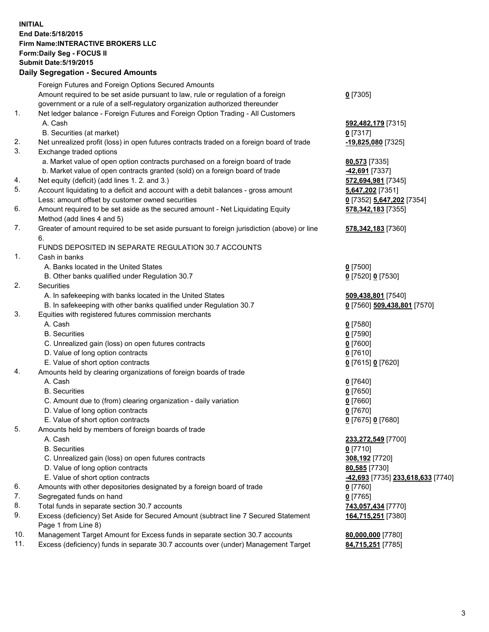## **INITIAL End Date:5/18/2015 Firm Name:INTERACTIVE BROKERS LLC Form:Daily Seg - FOCUS II Submit Date:5/19/2015 Daily Segregation - Secured Amounts**

|     | Dany Ocgregation - Oceanea Annoanta                                                         |                                                |
|-----|---------------------------------------------------------------------------------------------|------------------------------------------------|
|     | Foreign Futures and Foreign Options Secured Amounts                                         |                                                |
|     | Amount required to be set aside pursuant to law, rule or regulation of a foreign            | $0$ [7305]                                     |
|     | government or a rule of a self-regulatory organization authorized thereunder                |                                                |
| 1.  | Net ledger balance - Foreign Futures and Foreign Option Trading - All Customers             |                                                |
|     | A. Cash                                                                                     | 592,482,179 [7315]                             |
|     | B. Securities (at market)                                                                   | $0$ [7317]                                     |
| 2.  | Net unrealized profit (loss) in open futures contracts traded on a foreign board of trade   | -19,825,080 [7325]                             |
| 3.  | Exchange traded options                                                                     |                                                |
|     | a. Market value of open option contracts purchased on a foreign board of trade              | 80,573 [7335]                                  |
|     | b. Market value of open contracts granted (sold) on a foreign board of trade                | -42,691 [7337]                                 |
| 4.  | Net equity (deficit) (add lines 1.2. and 3.)                                                | 572,694,981 [7345]                             |
| 5.  | Account liquidating to a deficit and account with a debit balances - gross amount           | 5,647,202 [7351]                               |
|     | Less: amount offset by customer owned securities                                            | 0 [7352] 5,647,202 [7354]                      |
| 6.  | Amount required to be set aside as the secured amount - Net Liquidating Equity              | 578, 342, 183 [7355]                           |
|     | Method (add lines 4 and 5)                                                                  |                                                |
| 7.  | Greater of amount required to be set aside pursuant to foreign jurisdiction (above) or line | 578, 342, 183 [7360]                           |
|     | 6.                                                                                          |                                                |
|     | FUNDS DEPOSITED IN SEPARATE REGULATION 30.7 ACCOUNTS                                        |                                                |
| 1.  | Cash in banks                                                                               |                                                |
|     | A. Banks located in the United States                                                       | $0$ [7500]                                     |
|     | B. Other banks qualified under Regulation 30.7                                              | 0 [7520] 0 [7530]                              |
| 2.  | Securities                                                                                  |                                                |
|     | A. In safekeeping with banks located in the United States                                   | 509,438,801 [7540]                             |
|     | B. In safekeeping with other banks qualified under Regulation 30.7                          | 0 [7560] 509,438,801 [7570]                    |
| 3.  | Equities with registered futures commission merchants                                       |                                                |
|     | A. Cash                                                                                     | $0$ [7580]                                     |
|     | <b>B.</b> Securities                                                                        | $0$ [7590]                                     |
|     | C. Unrealized gain (loss) on open futures contracts                                         | $0$ [7600]                                     |
|     | D. Value of long option contracts                                                           | $0$ [7610]                                     |
|     | E. Value of short option contracts                                                          | 0 [7615] 0 [7620]                              |
| 4.  | Amounts held by clearing organizations of foreign boards of trade                           |                                                |
|     | A. Cash                                                                                     | $0$ [7640]                                     |
|     | <b>B.</b> Securities                                                                        | $0$ [7650]                                     |
|     | C. Amount due to (from) clearing organization - daily variation                             | $0$ [7660]                                     |
|     | D. Value of long option contracts                                                           | $0$ [7670]                                     |
|     | E. Value of short option contracts                                                          | 0 [7675] 0 [7680]                              |
| 5.  | Amounts held by members of foreign boards of trade                                          |                                                |
|     | A. Cash                                                                                     | 233,272,549 [7700]                             |
|     | <b>B.</b> Securities                                                                        | $0$ [7710]                                     |
|     | C. Unrealized gain (loss) on open futures contracts                                         | 308,192 <sup>[7720]</sup>                      |
|     | D. Value of long option contracts                                                           | 80,585 [7730]                                  |
|     | E. Value of short option contracts                                                          | <mark>-42,693</mark> [7735] 233,618,633 [7740] |
| 6.  | Amounts with other depositories designated by a foreign board of trade                      | $0$ [7760]                                     |
| 7.  | Segregated funds on hand                                                                    | $0$ [7765]                                     |
| 8.  | Total funds in separate section 30.7 accounts                                               | 743,057,434 [7770]                             |
| 9.  | Excess (deficiency) Set Aside for Secured Amount (subtract line 7 Secured Statement         | 164,715,251 [7380]                             |
|     | Page 1 from Line 8)                                                                         |                                                |
| 10. | Management Target Amount for Excess funds in separate section 30.7 accounts                 | 80,000,000 [7780]                              |
| 11. | Excess (deficiency) funds in separate 30.7 accounts over (under) Management Target          | 84,715,251 [7785]                              |
|     |                                                                                             |                                                |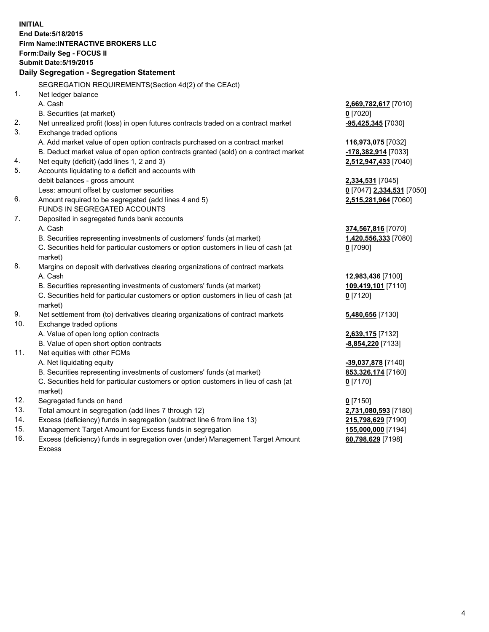**INITIAL End Date:5/18/2015 Firm Name:INTERACTIVE BROKERS LLC Form:Daily Seg - FOCUS II Submit Date:5/19/2015 Daily Segregation - Segregation Statement** SEGREGATION REQUIREMENTS(Section 4d(2) of the CEAct) 1. Net ledger balance A. Cash **2,669,782,617** [7010] B. Securities (at market) **0** [7020] 2. Net unrealized profit (loss) in open futures contracts traded on a contract market **-95,425,345** [7030] 3. Exchange traded options A. Add market value of open option contracts purchased on a contract market **116,973,075** [7032] B. Deduct market value of open option contracts granted (sold) on a contract market **-178,382,914** [7033] 4. Net equity (deficit) (add lines 1, 2 and 3) **2,512,947,433** [7040] 5. Accounts liquidating to a deficit and accounts with debit balances - gross amount **2,334,531** [7045] Less: amount offset by customer securities **0** [7047] **2,334,531** [7050] 6. Amount required to be segregated (add lines 4 and 5) **2,515,281,964** [7060] FUNDS IN SEGREGATED ACCOUNTS 7. Deposited in segregated funds bank accounts A. Cash **374,567,816** [7070] B. Securities representing investments of customers' funds (at market) **1,420,556,333** [7080] C. Securities held for particular customers or option customers in lieu of cash (at market) **0** [7090] 8. Margins on deposit with derivatives clearing organizations of contract markets A. Cash **12,983,436** [7100] B. Securities representing investments of customers' funds (at market) **109,419,101** [7110] C. Securities held for particular customers or option customers in lieu of cash (at market) **0** [7120] 9. Net settlement from (to) derivatives clearing organizations of contract markets **5,480,656** [7130] 10. Exchange traded options A. Value of open long option contracts **2,639,175** [7132] B. Value of open short option contracts **-8,854,220** [7133] 11. Net equities with other FCMs A. Net liquidating equity **-39,037,878** [7140] B. Securities representing investments of customers' funds (at market) **853,326,174** [7160] C. Securities held for particular customers or option customers in lieu of cash (at market) **0** [7170] 12. Segregated funds on hand **0** [7150] 13. Total amount in segregation (add lines 7 through 12) **2,731,080,593** [7180] 14. Excess (deficiency) funds in segregation (subtract line 6 from line 13) **215,798,629** [7190] 15. Management Target Amount for Excess funds in segregation **155,000,000** [7194]

16. Excess (deficiency) funds in segregation over (under) Management Target Amount Excess

**60,798,629** [7198]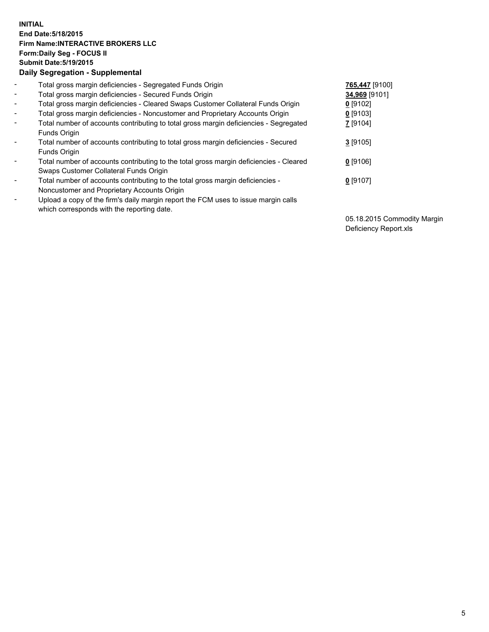## **INITIAL End Date:5/18/2015 Firm Name:INTERACTIVE BROKERS LLC Form:Daily Seg - FOCUS II Submit Date:5/19/2015 Daily Segregation - Supplemental**

| $\blacksquare$           | Total gross margin deficiencies - Segregated Funds Origin                              | 765,447 [9100] |
|--------------------------|----------------------------------------------------------------------------------------|----------------|
| $\blacksquare$           | Total gross margin deficiencies - Secured Funds Origin                                 | 34,969 [9101]  |
| $\blacksquare$           | Total gross margin deficiencies - Cleared Swaps Customer Collateral Funds Origin       | $0$ [9102]     |
| $\blacksquare$           | Total gross margin deficiencies - Noncustomer and Proprietary Accounts Origin          | $0$ [9103]     |
| $\blacksquare$           | Total number of accounts contributing to total gross margin deficiencies - Segregated  | 7 [9104]       |
|                          | Funds Origin                                                                           |                |
| $\blacksquare$           | Total number of accounts contributing to total gross margin deficiencies - Secured     | $3$ [9105]     |
|                          | Funds Origin                                                                           |                |
| $\overline{\phantom{a}}$ | Total number of accounts contributing to the total gross margin deficiencies - Cleared | $0$ [9106]     |
|                          | Swaps Customer Collateral Funds Origin                                                 |                |
| -                        | Total number of accounts contributing to the total gross margin deficiencies -         | $0$ [9107]     |
|                          | Noncustomer and Proprietary Accounts Origin                                            |                |
| $\blacksquare$           | Upload a copy of the firm's daily margin report the FCM uses to issue margin calls     |                |
|                          | which corresponds with the reporting date.                                             |                |

05.18.2015 Commodity Margin Deficiency Report.xls